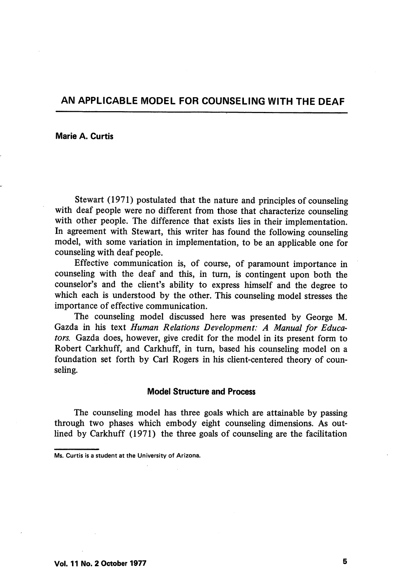## AN APPLICABLE MODEL FOR COUNSELING WITH THE DEAF

Marie A. Curtis

Stewart (1971) postulated that the nature and principles of counseling with deaf people were no different from those that characterize counseling with other people. The difference that exists lies in their implementation. In agreement with Stewart, this writer has found the following counseling model, with some variation in implementation, to be an applicable one for counseling with deaf people.

Effective communication is, of course, of paramount importance in counseling with the deaf and this, in turn, is contingent upon both the counselor's and the client's ability to express himself and the degree to which each is understood by the other. This counseling model stresses the importance of effective communication.

The counseling model discussed here was presented by George M. Gazda in his text Human Relations Development: A Manual for Educa tors. Gazda does, however, give credit for the model in its present form to Robert Carkhuff, and Carkhuff, in turn, based his counseling model on a foimdation set forth by Carl Rogers in his client-centered theory of coun seling.

## Model Structure and Process

The counseling model has three goals which are attainable by passing through two phases which embody eight counseling dimensions. As outlined by Carkhuff (1971) the three goals of counseling are the facilitation

Ms. Curtis is a student at the University of Arizona.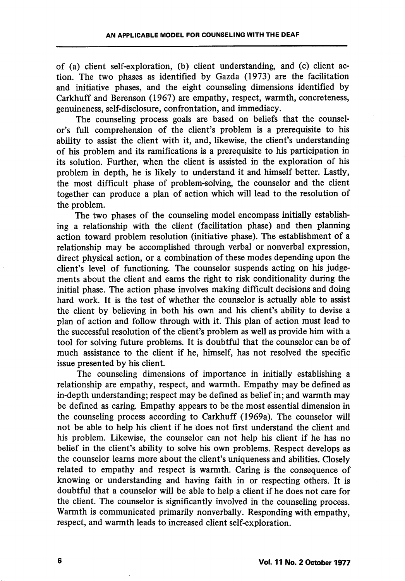of (a) client self-exploration, (b) client understanding, and (c) client ac tion. The two phases as identified by Gazda (1973) are the facilitation and initiative phases, and the eight counseling dimensions identified by Carkhuff and Berenson (1967) are empathy, respect, warmth, concreteness, genuineness, self-disclosure, confrontation, and immediacy.

The counseling process goals are based on beliefs that the counselor's full comprehension of the client's problem is a prerequisite to his ability to assist the client with it, and, likewise, the client's understanding of his problem and its ramifications is a prerequisite to his participation in its solution. Further, when the client is assisted in the exploration of his problem in depth, he is likely to understand it and himself better. Lastly, the most difficult phase of problem-solving, the counselor and the client together can produce a plan of action which will lead to the resolution of the problem.

The two phases of the counseling model encompass initially establish ing a relationship with the client (facilitation phase) and then planning action toward problem resolution (initiative phase). The establishment of a relationship may be accomplished through verbal or nonverbal expression, direct physical action, or a combination of these modes depending upon the client's level of functioning. The counselor suspends acting on his judge ments about the client and earns the right to risk conditionality during the initial phase. The action phase involves making difficult decisions and doing hard work. It is the test of whether the counselor is actually able to assist the client by beheving in both his own and his client's ability to devise a plan of action and follow through with it. This plan of action must lead to the successful resolution of the client's problem as well as provide him with a tool for solving future problems. It is doubtful that the counselor can be of much assistance to the client if he, himself, has not resolved the specific issue presented by his client.

The counseling dimensions of importance in initially establishing a relationship are empathy, respect, and warmth. Empathy may be defined as in-depth understanding; respect may be defined as belief in; and warmth may be defined as caring. Empathy appears to be the most essential dimension in the counseling process according to Carkhuff (1969a). The counselor will not be able to help his client if he does not first understand the client and his problem. Likewise, the counselor can not help his client if he has no belief in the client's ability to solve his own problems. Respect develops as the counselor learns more about the client's uniqueness and abilities. Closely related to empathy and respect is warmth. Caring is the consequence of knowing or understanding and having faith in or respecting others. It is doubtful that a counselor will be able to help a client if he does not care for the client. The counselor is significantly involved in the counseling process. Warmth is communicated primarily nonverbally. Responding with empathy, respect, and warmth leads to increased client self-exploration.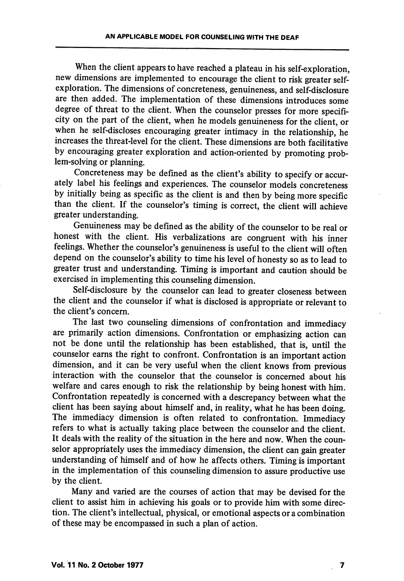When the client appears to have reached a plateau in his self-exploration, new dimensions are implemented to encourage the client to risk greater selfexploration. The dimensions of concreteness, genuineness, and self-disclosure are then added. The implementation of these dimensions introduces some degree of threat to the client. When the counselor presses for more specifi city on the part of the client, when he models genuineness for the client, or when he self-discloses encouraging greater intimacy in the relationship, he increases the threat-level for the client. These dimensions are both facilitative by encouraging greater exploration and action-oriented by promoting prob lem-solving or planning.

Concreteness may be defined as the client's ability to specify or accur ately label his feelings and experiences. The counselor models concreteness by initially being as specific as the client is and then by being more specific than the client. If the counselor's timing is correct, the client will achieve greater understanding.

Genuineness may be defined as the ability of the counselor to be real or honest with the client. His verbalizations are congruent with his inner feelings. Whether the counselor's genuineness is useful to the client will often depend on the counselor's ability to time his level of honesty so as to lead to greater trust and understanding. Timing is important and caution should be exercised in implementing this counseling dimension.

Self-disclosure by the counselor can lead to greater closeness between the client and the counselor if what is disclosed is appropriate or relevant to the client's concern.

The last two counseling dimensions of confrontation and immediacy are primarily action dimensions. Confrontation or emphasizing action can not be done until the relationship has been established, that is, until the counselor earns the right to confront. Confrontation is an important action dimension, and it can be very useful when the client knows from previous interaction with the counselor that the counselor is concerned about his welfare and cares enough to risk the relationship by being honest with him. Confrontation repeatedly is concerned with a descrepancy between what the client has been saying about himself and, in reality, what he has been doing. The immediacy dimension is often related to confrontation. Immediacy refers to what is actually taking place between the counselor and the client. It deals with the reality of the situation in the here and now. When the coun selor appropriately uses the immediacy dimension, the client can gain greater understanding of himself and of how he affects others. Timing is important in the implementation of this counseling dimension to assure productive use by the client.

Many and varied are the courses of action that may be devised for the client to assist him in achieving his goals or to provide him with some direction. The client's intellectual, physical, or emotional aspects or a combination of these may be encompassed in such a plan of action.

 $\overline{\mathbf{z}}$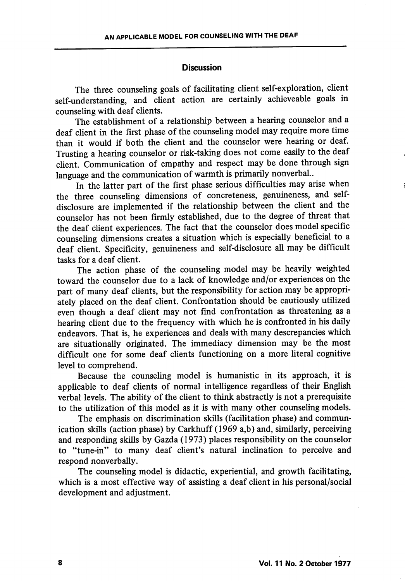## **Discussion**

The three counseling goals of facilitating client self-exploration, client self-understanding, and client action are certainly achieveable goals in counseling with deaf clients.

The establishment of a relationship between a hearing counselor and a deaf client in the first phase of the counseling model may require more time than it would if both the client and the counselor were hearing or deaf. Trusting a hearing counselor or risk-taking does not come easily to the deaf client. Communication of empathy and respect may be done through sign language and the communication of warmth is primarily nonverbal..

In the latter part of the first phase serious difficulties may arise when the three counseling dimensions of concreteness, genuineness, and selfdisclosure are implemented if the relationship between the client and the counselor has not been firmly established, due to the degree of threat that the deaf client experiences. The fact that the counselor does model specific counseling dimensions creates a situation which is especially beneficial to a deaf chent. Specificity, genuineness and self-disclosure all may be difficult tasks for a deaf client.

The action phase of the counseling model may be heavily weighted toward the counselor due to a lack of knowledge and/or experiences on the part of many deaf clients, but the responsibility for action may be appropriately placed on the deaf client. Confrontation should be cautiously utilized even though a deaf client may not find confrontation as threatening as a hearing client due to the frequency with which he is confronted in his daily endeavors. That is, he experiences and deals with many descrepancies which are situationally originated. The immediacy dimension may be the most difficult one for some deaf clients functioning on a more literal cognitive level to comprehend.

Because the counseling model is humanistic in its approach, it is applicable to deaf clients of normal intelligence regardless of their English verbal levels. The ability of the client to think abstractly is not a prerequisite to the utilization of this model as it is with many other counseling models.

The emphasis on discrimination skills (facilitation phase) and commun ication skills (action phase) by Carkhuff (1969 a,b) and, similarly, perceiving and responding skills by Gazda (1973) places responsibihty on the counselor to "tune-in" to many deaf client's natural inclination to perceive and respond nonverbally.

The counseling model is didactic, experiential, and growth facilitating, which is a most effective way of assisting a deaf client in his personal/social development and adjustment.